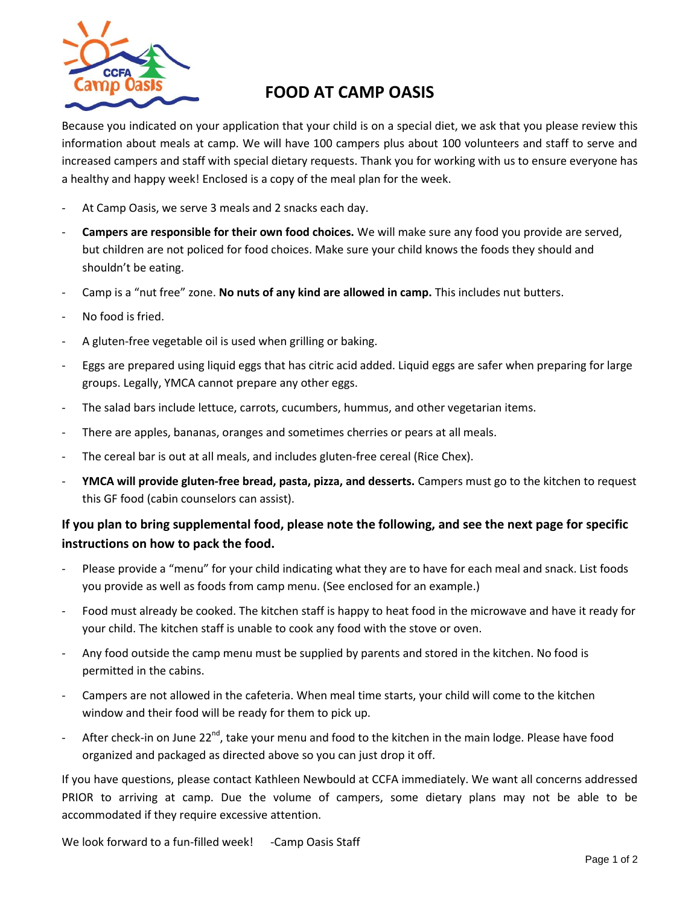

## **FOOD AT CAMP OASIS**

Because you indicated on your application that your child is on a special diet, we ask that you please review this information about meals at camp. We will have 100 campers plus about 100 volunteers and staff to serve and increased campers and staff with special dietary requests. Thank you for working with us to ensure everyone has a healthy and happy week! Enclosed is a copy of the meal plan for the week.

- At Camp Oasis, we serve 3 meals and 2 snacks each day.
- **Campers are responsible for their own food choices.** We will make sure any food you provide are served, but children are not policed for food choices. Make sure your child knows the foods they should and shouldn't be eating.
- Camp is a "nut free" zone. **No nuts of any kind are allowed in camp.** This includes nut butters.
- No food is fried.
- A gluten-free vegetable oil is used when grilling or baking.
- Eggs are prepared using liquid eggs that has citric acid added. Liquid eggs are safer when preparing for large groups. Legally, YMCA cannot prepare any other eggs.
- The salad bars include lettuce, carrots, cucumbers, hummus, and other vegetarian items.
- There are apples, bananas, oranges and sometimes cherries or pears at all meals.
- The cereal bar is out at all meals, and includes gluten-free cereal (Rice Chex).
- **YMCA will provide gluten-free bread, pasta, pizza, and desserts.** Campers must go to the kitchen to request this GF food (cabin counselors can assist).

## **If you plan to bring supplemental food, please note the following, and see the next page for specific instructions on how to pack the food.**

- Please provide a "menu" for your child indicating what they are to have for each meal and snack. List foods you provide as well as foods from camp menu. (See enclosed for an example.)
- Food must already be cooked. The kitchen staff is happy to heat food in the microwave and have it ready for your child. The kitchen staff is unable to cook any food with the stove or oven.
- Any food outside the camp menu must be supplied by parents and stored in the kitchen. No food is permitted in the cabins.
- Campers are not allowed in the cafeteria. When meal time starts, your child will come to the kitchen window and their food will be ready for them to pick up.
- After check-in on June 22<sup>nd</sup>, take your menu and food to the kitchen in the main lodge. Please have food organized and packaged as directed above so you can just drop it off.

If you have questions, please contact Kathleen Newbould at CCFA immediately. We want all concerns addressed PRIOR to arriving at camp. Due the volume of campers, some dietary plans may not be able to be accommodated if they require excessive attention.

We look forward to a fun-filled week! -Camp Oasis Staff